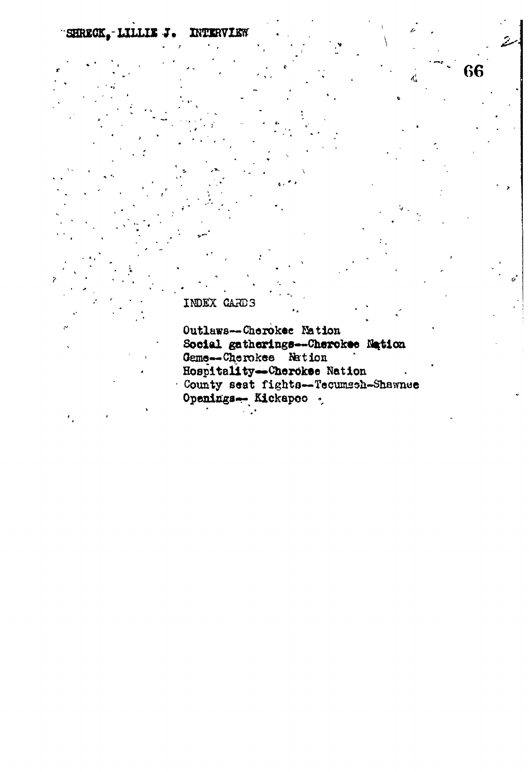SHRECK, LILLIE J. INTERVIEW

66

 $\vec{a}$ 

## INDEX CARDS

Outlaws--Cherokee Nation Social gatherings--Cherokee Nation<br>Geme--Cherokee Nation Hospitality--Cherckee Nation County seat fights--Tecumsch-Shawnee Openings- Kickapec .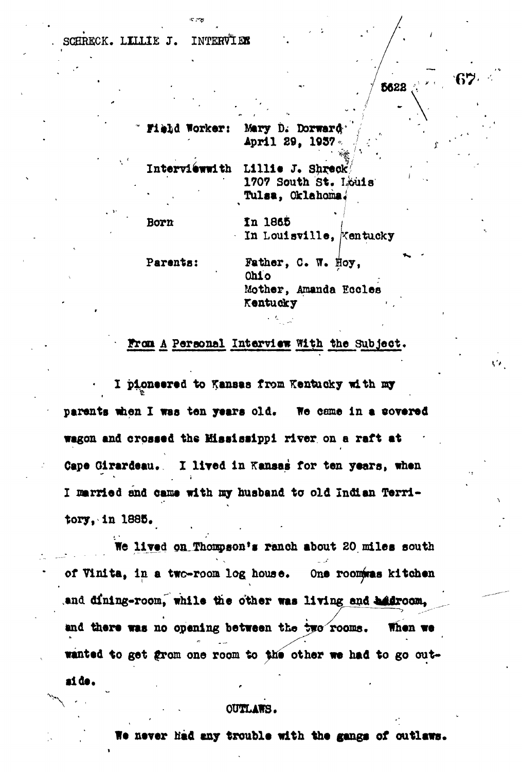## **. SCHRECK. LTJ.ItE J. INTEH^LBS**

5622

**Field Worker: Mary D. Dorward '** April 29, 1957

Interviewwith Lillie J. Shreck **1707 South St. Louis Tulsa, Oklahoma\***

| <b>Born</b>   | In 1865<br>In Louisville, Kentucky                                                       |
|---------------|------------------------------------------------------------------------------------------|
| Parents:<br>٠ | Father, C. W. Hoy,<br>0 <sub>h</sub> 1 <sub>o</sub><br>Mother, Amanda Eccles<br>Kentucky |

#### **Fron A, Personal IntervJew With the Subjeot,**

**I pioneered to Kansas from Kentucky nith ray** parents when I was ten years old. We came in a covered **wagon and crossed the Ulsslsaippl river on a raft at Cape Glrardeau. I lired in Kansas for ten years, nhen I married and came with my husband to old Indian Territory, in 1885.**

**We lived on.Thoapaon'g ranch about 20 miles south of Vinita, In a two-room log house. One roomiraa kitchen** and dining-room, while the other was living and *addroom*, and there was no opening between the two rooms. When we wanted to get grom one room to the other we had to go out**tide. ,**

#### **OUTLANS.**

**We never had cay trouble with the gangs of outlaws.**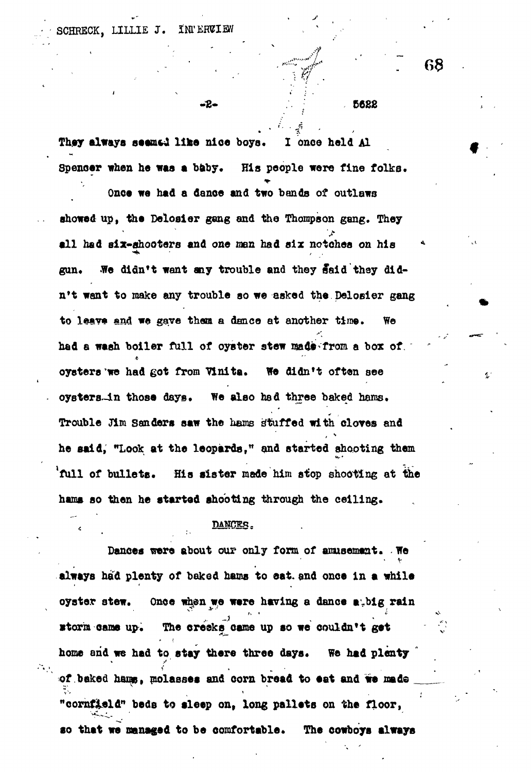**6682**

They always seemsd like nice boys. I once held Al **Spenoer when he was a baby. His people were fine folks.**

**- £- ;. ;:**

, and if  $\mathcal{L} = \{ \mathbf{r}_i \mid i=1,2, \ldots, n \}$  ,  $\mathcal{L} = \{ \mathbf{r}_i \mid i=1,2, \ldots, n \}$ 

**Onca we had a dance and two bands of outlaws showed up, the Deloaler gang and the Thompson gang. They all had six-shooters and** *one* **men had six notches on his \* gun. We didn't want any trouble and they Said they didn't want to make any trouble so we asked the Delosier gang** to leave and we gave them a dance at another time. We had a wash boiler full of oyster stew made from a box of. **oysters'we had got from Yinita. We didn't often see oysters-in thosa days. We also had three baked haras. Trouble Jim Sanders saw the hams stuffed with cloves and he said, "Look at the leopards," and started shooting them 'full of bullets. His sister made him stop shooting at the hama so then he started shooting through the celling.**

### DANCER.

**Dances were about our only form of amusement. . We** • v **always had plenty of baked hams to eat, and onca in a while oyster stew. Onoe when we ware having a dance a-big rain •toria oame up. The creaks came up so we couldn't gat** home and we had to stay there three days. We had plenty " of baked hams, molasses and corn bread to eat and we made **"cornfield" beds to sleep on, long pallets on the floor, so that we managed to be comfortable. The cowboys always**

68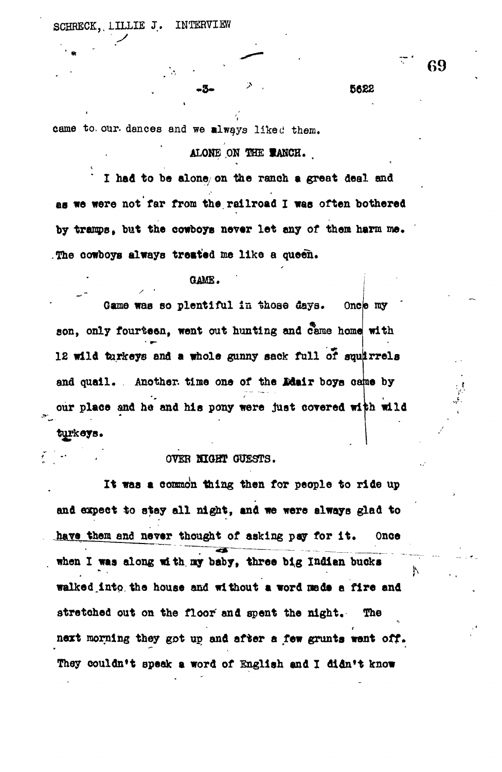**SCHRECK, LILLIE J. INTERVIEW**

came to our dances and we always liked them.

## **ALONE .ON THE IANCH. ,**

,

**I had to be alone/ on the ranch a great deal and as we were not far from the railroad I was often bothered by tramps, but the cowboys never let any of them harm me. The cowboys always treated me like a queen.**

#### **GAME.**

**Game was so plentiful in those days. One son, only fourteen, went out hunting and came home with 12 wild turkeys and a whole gunny sack full of sou rrela** and quail. Another, time one of the Ldair boys came by our place and he and his pony were just covered with wild **turkeys.**

## **OVER HIGHT GUESTS.**

**It was a common thing then for people to ride up** and expect to stay all night, and we were always glad to have them and never thought of asking pay for it. Once **when I waa along with ay baby, three big Indian bucks** walked into the house and without a word made a fire and **stretched out on the floor' and spent the night. The next morning they got up, and after a few grunts went off. They couldn\*t speak a word of English and I didn't know**

69

**-3-** \* **5622**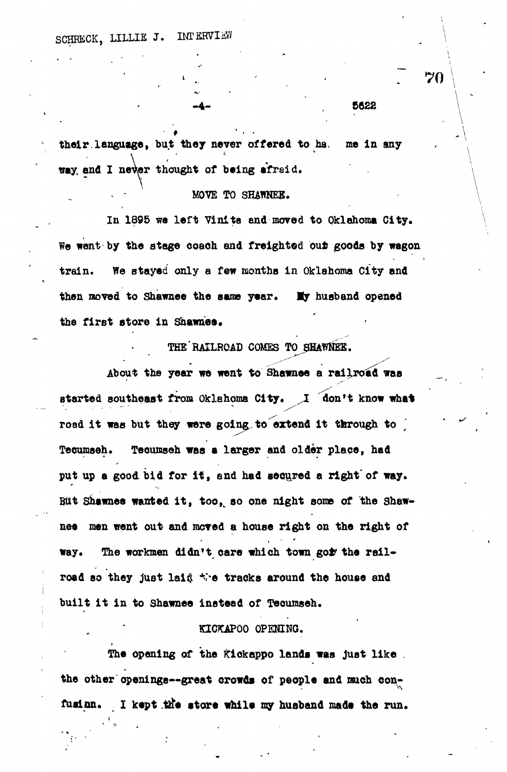their language, but they never offered to ha. me in any way and I never thought of being afraid.

# $\mathbf{w} = \mathbf{w} \cdot \mathbf{w}$  and  $\mathbf{w} = \mathbf{w} \cdot \mathbf{w}$  and  $\mathbf{w} = \mathbf{w} \cdot \mathbf{w}$

In 1895 we left Vinita and moved to Oklahoma City. We went by the stage coach and freighted out goods by wagon train. We stayed only a few months in Oklahoma City and then moved to Shawnee the same year. My husband opened the first store in Shawnee.

**the first 8tor e i n Shawnes.**

About the year we went to Shawnee a railroad was started southeast from Oklahoma City. I don't know what road it was but they were going to extend it through to **road i t was but they were goings t o extend i t through t o** *' ^* put up a good bid for it, and had secured a right of way. But Shawnes wanted it, too, so one night some of the Shaw-**But Shawnee wanted it , too , so one night some of the Shawnee men went out and moved a house righ t on the right of** way. **way. The workmen didn't care which town go ^ the rail -**

## **built i t i n to Shawnee instead of Tecumseh.** KICKAPOO OPENING. **KICKAPOO OPENING.**

**The opening of the Kiokappo lands was just lik e . the other openings—great crowds of peopl e and such oon-**

**fusinn. I kept ttfe stor e whil e my husband mada the run\***

70

**. \**

 $-4 -$  8822  $\sqrt{2}$